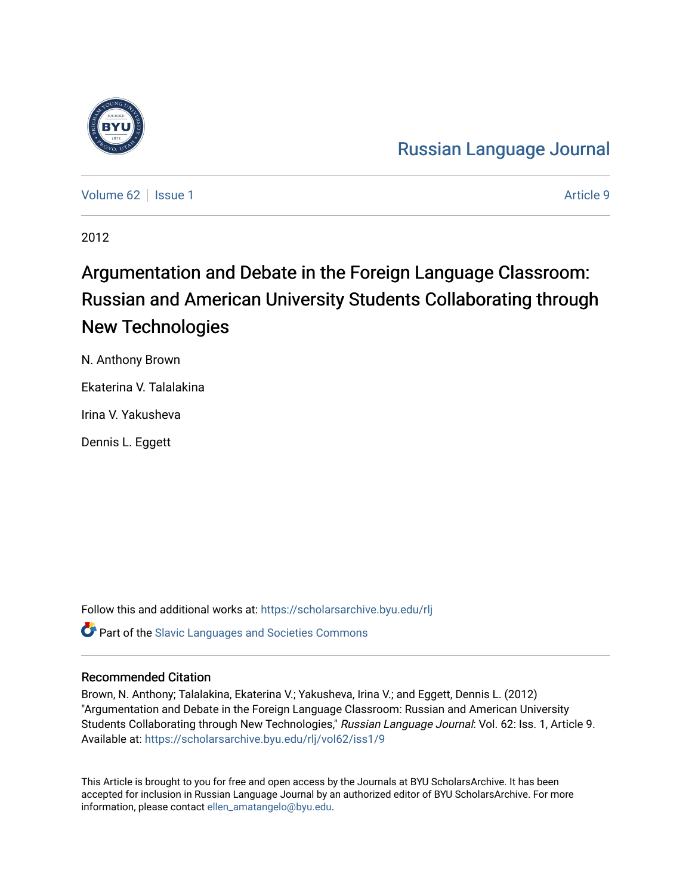

[Russian Language Journal](https://scholarsarchive.byu.edu/rlj) 

[Volume 62](https://scholarsarchive.byu.edu/rlj/vol62) | [Issue 1](https://scholarsarchive.byu.edu/rlj/vol62/iss1) Article 9

2012

# Argumentation and Debate in the Foreign Language Classroom: Russian and American University Students Collaborating through New Technologies

N. Anthony Brown Ekaterina V. Talalakina Irina V. Yakusheva Dennis L. Eggett

Follow this and additional works at: [https://scholarsarchive.byu.edu/rlj](https://scholarsarchive.byu.edu/rlj?utm_source=scholarsarchive.byu.edu%2Frlj%2Fvol62%2Fiss1%2F9&utm_medium=PDF&utm_campaign=PDFCoverPages) **Part of the Slavic Languages and Societies Commons** 

#### Recommended Citation

Brown, N. Anthony; Talalakina, Ekaterina V.; Yakusheva, Irina V.; and Eggett, Dennis L. (2012) "Argumentation and Debate in the Foreign Language Classroom: Russian and American University Students Collaborating through New Technologies," Russian Language Journal: Vol. 62: Iss. 1, Article 9. Available at: [https://scholarsarchive.byu.edu/rlj/vol62/iss1/9](https://scholarsarchive.byu.edu/rlj/vol62/iss1/9?utm_source=scholarsarchive.byu.edu%2Frlj%2Fvol62%2Fiss1%2F9&utm_medium=PDF&utm_campaign=PDFCoverPages) 

This Article is brought to you for free and open access by the Journals at BYU ScholarsArchive. It has been accepted for inclusion in Russian Language Journal by an authorized editor of BYU ScholarsArchive. For more information, please contact [ellen\\_amatangelo@byu.edu.](mailto:ellen_amatangelo@byu.edu)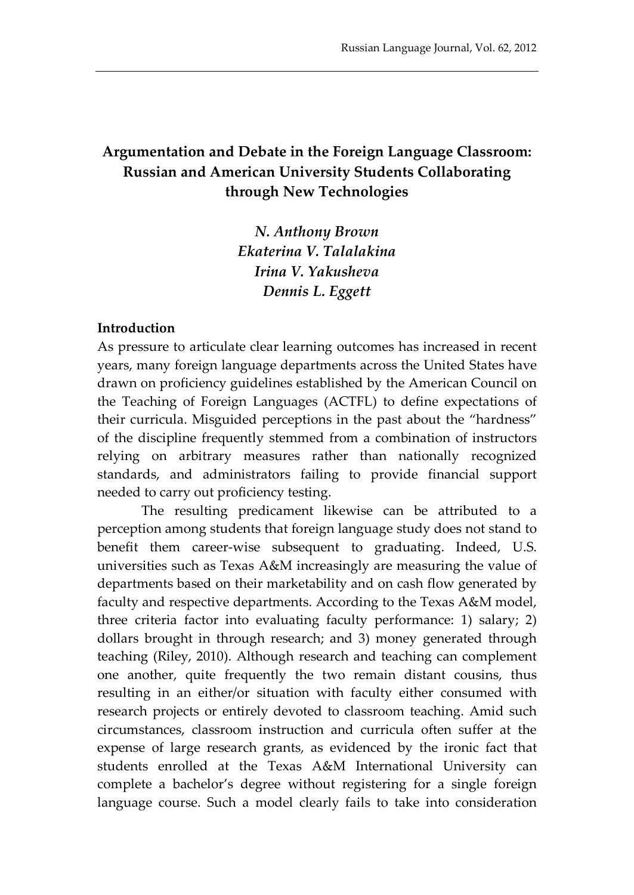## **Argumentation and Debate in the Foreign Language Classroom: Russian and American University Students Collaborating through New Technologies**

*N. Anthony Brown Ekaterina V. Talalakina Irina V. Yakusheva Dennis L. Eggett*

#### **Introduction**

As pressure to articulate clear learning outcomes has increased in recent years, many foreign language departments across the United States have drawn on proficiency guidelines established by the American Council on the Teaching of Foreign Languages (ACTFL) to define expectations of their curricula. Misguided perceptions in the past about the "hardness" of the discipline frequently stemmed from a combination of instructors relying on arbitrary measures rather than nationally recognized standards, and administrators failing to provide financial support needed to carry out proficiency testing.

The resulting predicament likewise can be attributed to a perception among students that foreign language study does not stand to benefit them career-wise subsequent to graduating. Indeed, U.S. universities such as Texas A&M increasingly are measuring the value of departments based on their marketability and on cash flow generated by faculty and respective departments. According to the Texas A&M model, three criteria factor into evaluating faculty performance: 1) salary; 2) dollars brought in through research; and 3) money generated through teaching (Riley, 2010). Although research and teaching can complement one another, quite frequently the two remain distant cousins, thus resulting in an either/or situation with faculty either consumed with research projects or entirely devoted to classroom teaching. Amid such circumstances, classroom instruction and curricula often suffer at the expense of large research grants, as evidenced by the ironic fact that students enrolled at the Texas A&M International University can complete a bachelor's degree without registering for a single foreign language course. Such a model clearly fails to take into consideration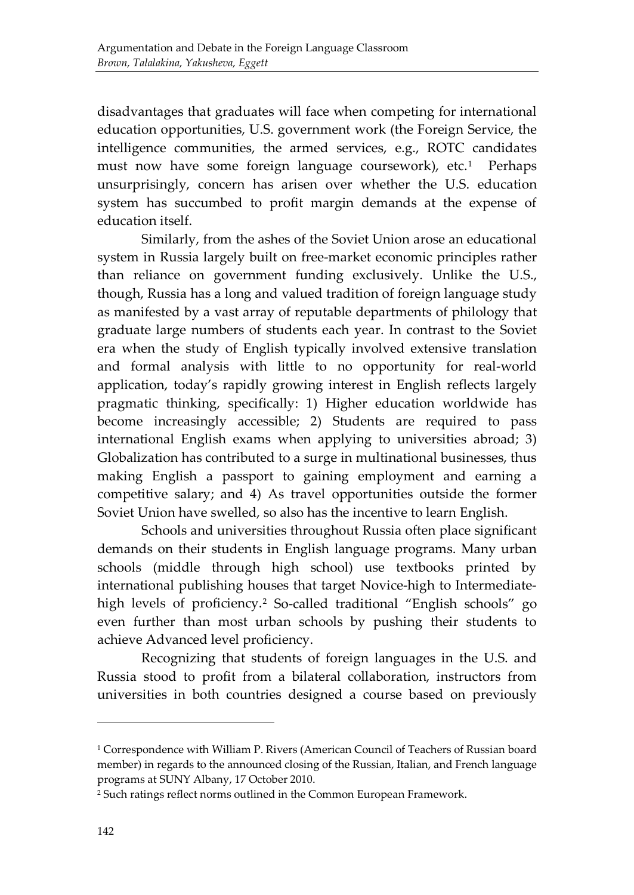disadvantages that graduates will face when competing for international education opportunities, U.S. government work (the Foreign Service, the intelligence communities, the armed services, e.g., ROTC candidates must now have some foreign language coursework), etc.<sup>[1](#page-2-0)</sup> Perhaps unsurprisingly, concern has arisen over whether the U.S. education system has succumbed to profit margin demands at the expense of education itself.

Similarly, from the ashes of the Soviet Union arose an educational system in Russia largely built on free-market economic principles rather than reliance on government funding exclusively. Unlike the U.S., though, Russia has a long and valued tradition of foreign language study as manifested by a vast array of reputable departments of philology that graduate large numbers of students each year. In contrast to the Soviet era when the study of English typically involved extensive translation and formal analysis with little to no opportunity for real-world application, today's rapidly growing interest in English reflects largely pragmatic thinking, specifically: 1) Higher education worldwide has become increasingly accessible; 2) Students are required to pass international English exams when applying to universities abroad; 3) Globalization has contributed to a surge in multinational businesses, thus making English a passport to gaining employment and earning a competitive salary; and 4) As travel opportunities outside the former Soviet Union have swelled, so also has the incentive to learn English.

Schools and universities throughout Russia often place significant demands on their students in English language programs. Many urban schools (middle through high school) use textbooks printed by international publishing houses that target Novice-high to Intermediate-high levels of proficiency.<sup>[2](#page-2-1)</sup> So-called traditional "English schools" go even further than most urban schools by pushing their students to achieve Advanced level proficiency.

Recognizing that students of foreign languages in the U.S. and Russia stood to profit from a bilateral collaboration, instructors from universities in both countries designed a course based on previously

<span id="page-2-0"></span><sup>1</sup> Correspondence with William P. Rivers (American Council of Teachers of Russian board member) in regards to the announced closing of the Russian, Italian, and French language programs at SUNY Albany, 17 October 2010.

<span id="page-2-1"></span><sup>2</sup> Such ratings reflect norms outlined in the Common European Framework.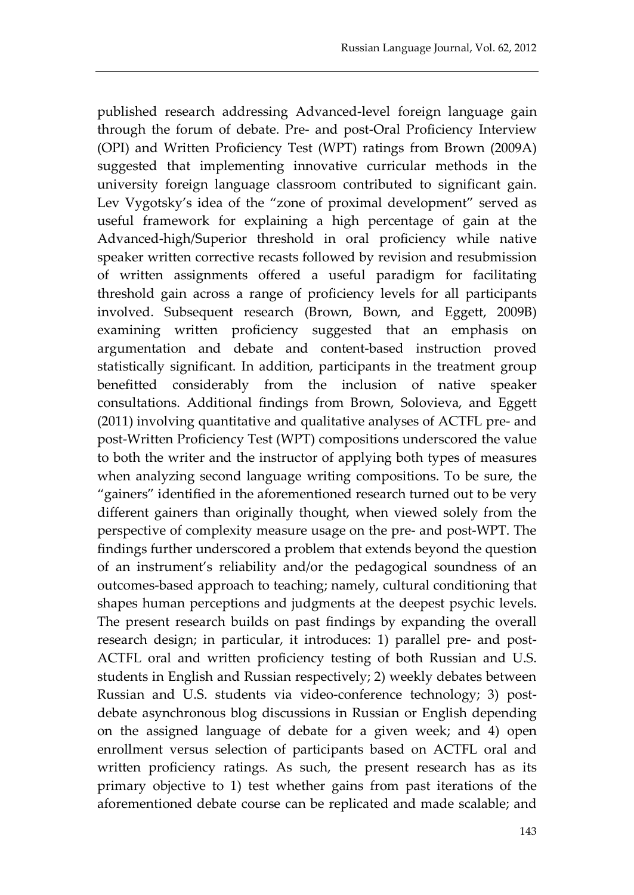published research addressing Advanced-level foreign language gain through the forum of debate. Pre- and post-Oral Proficiency Interview (OPI) and Written Proficiency Test (WPT) ratings from Brown (2009A) suggested that implementing innovative curricular methods in the university foreign language classroom contributed to significant gain. Lev Vygotsky's idea of the "zone of proximal development" served as useful framework for explaining a high percentage of gain at the Advanced-high/Superior threshold in oral proficiency while native speaker written corrective recasts followed by revision and resubmission of written assignments offered a useful paradigm for facilitating threshold gain across a range of proficiency levels for all participants involved. Subsequent research (Brown, Bown, and Eggett, 2009B) examining written proficiency suggested that an emphasis on argumentation and debate and content-based instruction proved statistically significant. In addition, participants in the treatment group benefitted considerably from the inclusion of native speaker consultations. Additional findings from Brown, Solovieva, and Eggett (2011) involving quantitative and qualitative analyses of ACTFL pre- and post-Written Proficiency Test (WPT) compositions underscored the value to both the writer and the instructor of applying both types of measures when analyzing second language writing compositions. To be sure, the "gainers" identified in the aforementioned research turned out to be very different gainers than originally thought, when viewed solely from the perspective of complexity measure usage on the pre- and post-WPT. The findings further underscored a problem that extends beyond the question of an instrument's reliability and/or the pedagogical soundness of an outcomes-based approach to teaching; namely, cultural conditioning that shapes human perceptions and judgments at the deepest psychic levels. The present research builds on past findings by expanding the overall research design; in particular, it introduces: 1) parallel pre- and post-ACTFL oral and written proficiency testing of both Russian and U.S. students in English and Russian respectively; 2) weekly debates between Russian and U.S. students via video-conference technology; 3) postdebate asynchronous blog discussions in Russian or English depending on the assigned language of debate for a given week; and 4) open enrollment versus selection of participants based on ACTFL oral and written proficiency ratings. As such, the present research has as its primary objective to 1) test whether gains from past iterations of the aforementioned debate course can be replicated and made scalable; and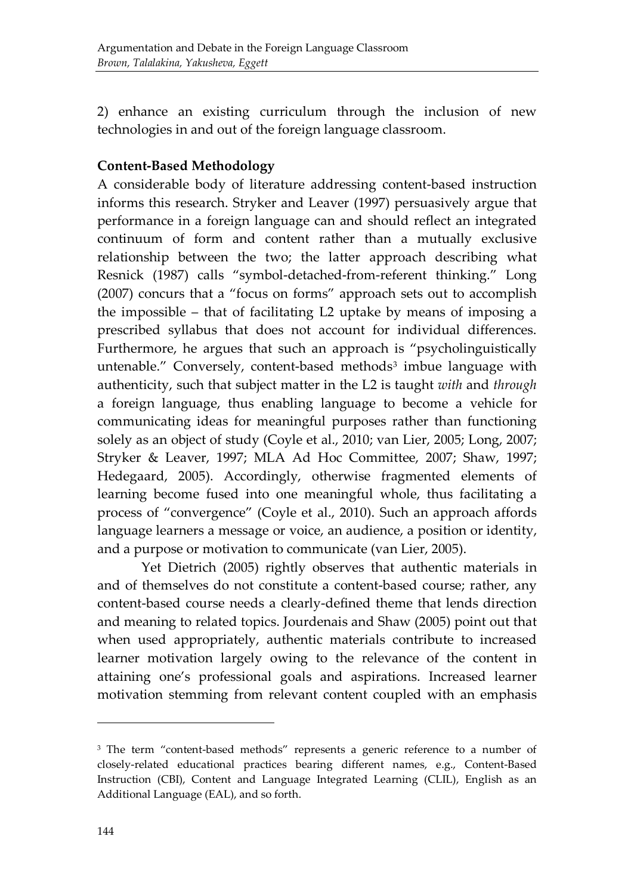2) enhance an existing curriculum through the inclusion of new technologies in and out of the foreign language classroom.

### **Content-Based Methodology**

A considerable body of literature addressing content-based instruction informs this research. Stryker and Leaver (1997) persuasively argue that performance in a foreign language can and should reflect an integrated continuum of form and content rather than a mutually exclusive relationship between the two; the latter approach describing what Resnick (1987) calls "symbol-detached-from-referent thinking." Long (2007) concurs that a "focus on forms" approach sets out to accomplish the impossible – that of facilitating L2 uptake by means of imposing a prescribed syllabus that does not account for individual differences. Furthermore, he argues that such an approach is "psycholinguistically untenable." Conversely, content-based methods<sup>[3](#page-4-0)</sup> imbue language with authenticity, such that subject matter in the L2 is taught *with* and *through* a foreign language, thus enabling language to become a vehicle for communicating ideas for meaningful purposes rather than functioning solely as an object of study (Coyle et al., 2010; van Lier, 2005; Long, 2007; Stryker & Leaver, 1997; MLA Ad Hoc Committee, 2007; Shaw, 1997; Hedegaard, 2005). Accordingly, otherwise fragmented elements of learning become fused into one meaningful whole, thus facilitating a process of "convergence" (Coyle et al., 2010). Such an approach affords language learners a message or voice, an audience, a position or identity, and a purpose or motivation to communicate (van Lier, 2005).

Yet Dietrich (2005) rightly observes that authentic materials in and of themselves do not constitute a content-based course; rather, any content-based course needs a clearly-defined theme that lends direction and meaning to related topics. Jourdenais and Shaw (2005) point out that when used appropriately, authentic materials contribute to increased learner motivation largely owing to the relevance of the content in attaining one's professional goals and aspirations. Increased learner motivation stemming from relevant content coupled with an emphasis

<span id="page-4-0"></span><sup>&</sup>lt;sup>3</sup> The term "content-based methods" represents a generic reference to a number of closely-related educational practices bearing different names, e.g., Content-Based Instruction (CBI), Content and Language Integrated Learning (CLIL), English as an Additional Language (EAL), and so forth.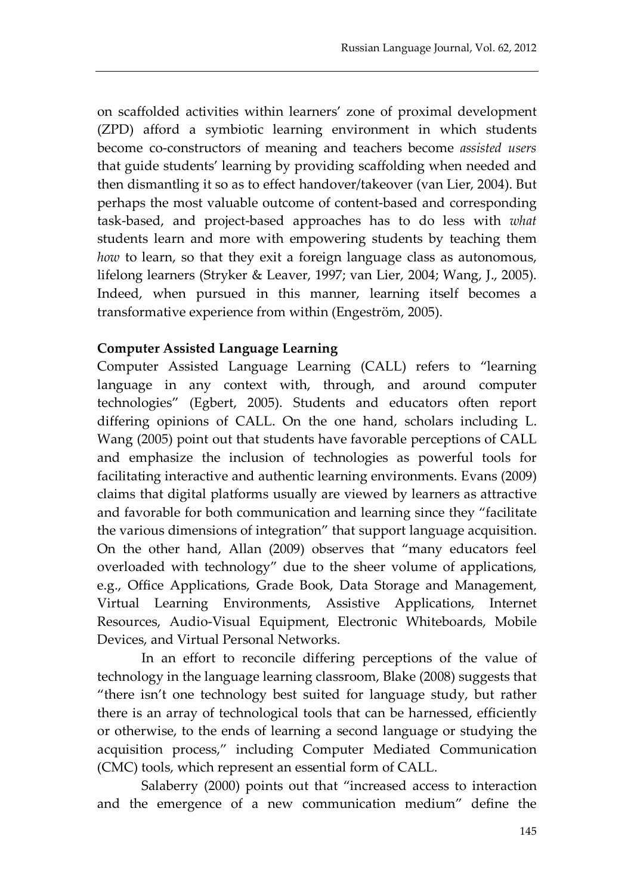on scaffolded activities within learners' zone of proximal development (ZPD) afford a symbiotic learning environment in which students become co-constructors of meaning and teachers become *assisted users* that guide students' learning by providing scaffolding when needed and then dismantling it so as to effect handover/takeover (van Lier, 2004). But perhaps the most valuable outcome of content-based and corresponding task-based, and project-based approaches has to do less with *what* students learn and more with empowering students by teaching them *how* to learn, so that they exit a foreign language class as autonomous, lifelong learners (Stryker & Leaver, 1997; van Lier, 2004; Wang, J., 2005). Indeed, when pursued in this manner, learning itself becomes a transformative experience from within (Engeström, 2005).

#### **Computer Assisted Language Learning**

Computer Assisted Language Learning (CALL) refers to "learning language in any context with, through, and around computer technologies" (Egbert, 2005). Students and educators often report differing opinions of CALL. On the one hand, scholars including L. Wang (2005) point out that students have favorable perceptions of CALL and emphasize the inclusion of technologies as powerful tools for facilitating interactive and authentic learning environments. Evans (2009) claims that digital platforms usually are viewed by learners as attractive and favorable for both communication and learning since they "facilitate the various dimensions of integration" that support language acquisition. On the other hand, Allan (2009) observes that "many educators feel overloaded with technology" due to the sheer volume of applications, e.g., Office Applications, Grade Book, Data Storage and Management, Virtual Learning Environments, Assistive Applications, Internet Resources, Audio-Visual Equipment, Electronic Whiteboards, Mobile Devices, and Virtual Personal Networks.

In an effort to reconcile differing perceptions of the value of technology in the language learning classroom, Blake (2008) suggests that "there isn't one technology best suited for language study, but rather there is an array of technological tools that can be harnessed, efficiently or otherwise, to the ends of learning a second language or studying the acquisition process," including Computer Mediated Communication (CMC) tools, which represent an essential form of CALL.

Salaberry (2000) points out that "increased access to interaction and the emergence of a new communication medium" define the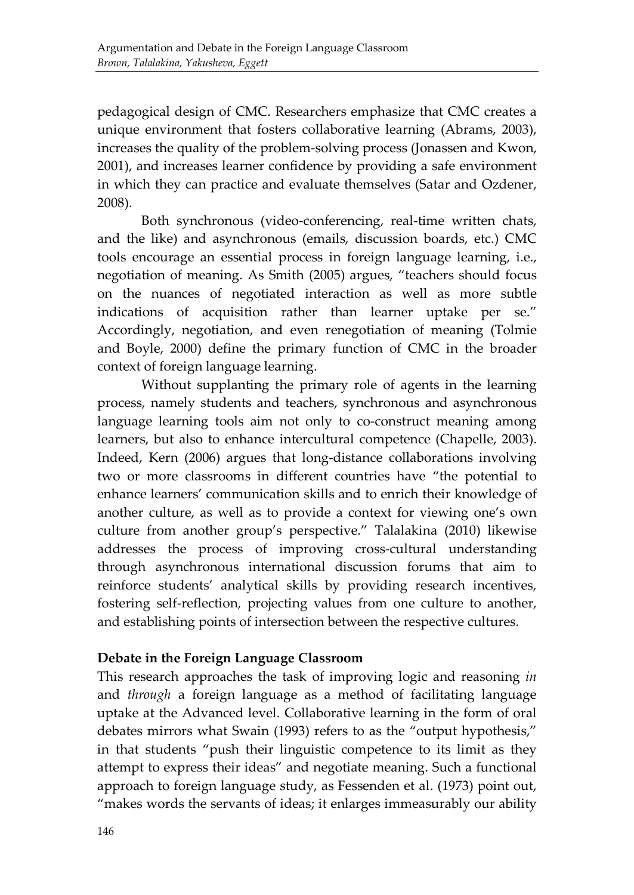pedagogical design of CMC. Researchers emphasize that CMC creates a unique environment that fosters collaborative learning (Abrams, 2003), increases the quality of the problem-solving process (Jonassen and Kwon, 2001), and increases learner confidence by providing a safe environment in which they can practice and evaluate themselves (Satar and Ozdener, 2008).

Both synchronous (video-conferencing, real-time written chats, and the like) and asynchronous (emails, discussion boards, etc.) CMC tools encourage an essential process in foreign language learning, i.e., negotiation of meaning. As Smith (2005) argues, "teachers should focus on the nuances of negotiated interaction as well as more subtle indications of acquisition rather than learner uptake per se." Accordingly, negotiation, and even renegotiation of meaning (Tolmie and Boyle, 2000) define the primary function of CMC in the broader context of foreign language learning.

Without supplanting the primary role of agents in the learning process, namely students and teachers, synchronous and asynchronous language learning tools aim not only to co-construct meaning among learners, but also to enhance intercultural competence (Chapelle, 2003). Indeed, Kern (2006) argues that long-distance collaborations involving two or more classrooms in different countries have "the potential to enhance learners' communication skills and to enrich their knowledge of another culture, as well as to provide a context for viewing one's own culture from another group's perspective." Talalakina (2010) likewise addresses the process of improving cross-cultural understanding through asynchronous international discussion forums that aim to reinforce students' analytical skills by providing research incentives, fostering self-reflection, projecting values from one culture to another, and establishing points of intersection between the respective cultures.

#### **Debate in the Foreign Language Classroom**

This research approaches the task of improving logic and reasoning *in* and *through* a foreign language as a method of facilitating language uptake at the Advanced level. Collaborative learning in the form of oral debates mirrors what Swain (1993) refers to as the "output hypothesis," in that students "push their linguistic competence to its limit as they attempt to express their ideas" and negotiate meaning. Such a functional approach to foreign language study, as Fessenden et al. (1973) point out, "makes words the servants of ideas; it enlarges immeasurably our ability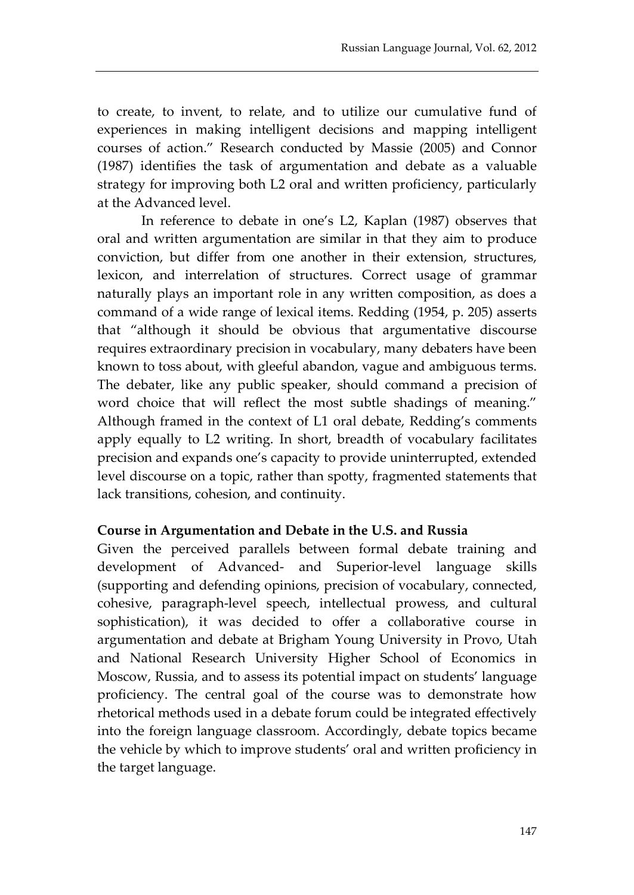to create, to invent, to relate, and to utilize our cumulative fund of experiences in making intelligent decisions and mapping intelligent courses of action." Research conducted by Massie (2005) and Connor (1987) identifies the task of argumentation and debate as a valuable strategy for improving both L2 oral and written proficiency, particularly at the Advanced level.

In reference to debate in one's L2, Kaplan (1987) observes that oral and written argumentation are similar in that they aim to produce conviction, but differ from one another in their extension, structures, lexicon, and interrelation of structures. Correct usage of grammar naturally plays an important role in any written composition, as does a command of a wide range of lexical items. Redding (1954, p. 205) asserts that "although it should be obvious that argumentative discourse requires extraordinary precision in vocabulary, many debaters have been known to toss about, with gleeful abandon, vague and ambiguous terms. The debater, like any public speaker, should command a precision of word choice that will reflect the most subtle shadings of meaning." Although framed in the context of L1 oral debate, Redding's comments apply equally to L2 writing. In short, breadth of vocabulary facilitates precision and expands one's capacity to provide uninterrupted, extended level discourse on a topic, rather than spotty, fragmented statements that lack transitions, cohesion, and continuity.

#### **Course in Argumentation and Debate in the U.S. and Russia**

Given the perceived parallels between formal debate training and development of Advanced- and Superior-level language skills (supporting and defending opinions, precision of vocabulary, connected, cohesive, paragraph-level speech, intellectual prowess, and cultural sophistication), it was decided to offer a collaborative course in argumentation and debate at Brigham Young University in Provo, Utah and National Research University Higher School of Economics in Moscow, Russia, and to assess its potential impact on students' language proficiency. The central goal of the course was to demonstrate how rhetorical methods used in a debate forum could be integrated effectively into the foreign language classroom. Accordingly, debate topics became the vehicle by which to improve students' oral and written proficiency in the target language.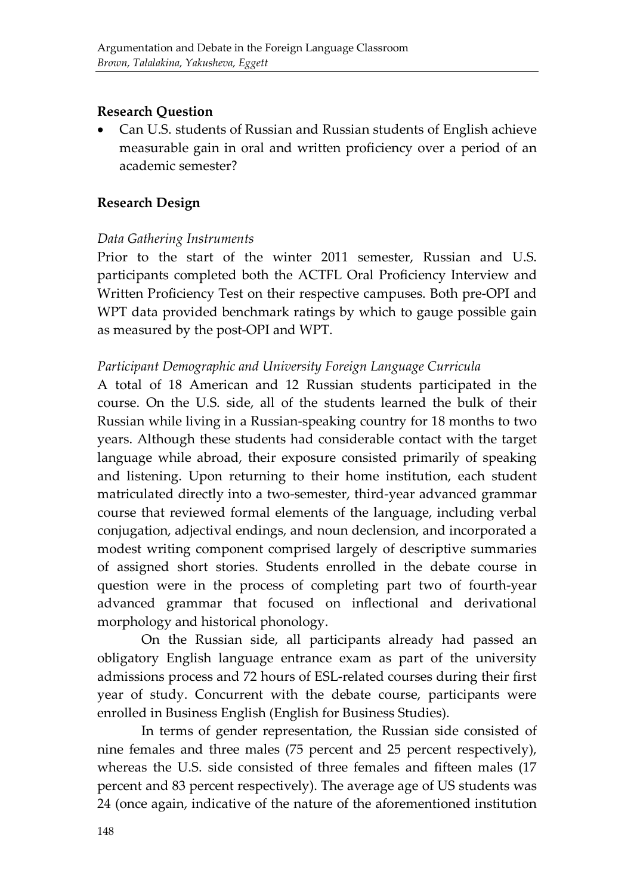#### **Research Question**

• Can U.S. students of Russian and Russian students of English achieve measurable gain in oral and written proficiency over a period of an academic semester?

#### **Research Design**

#### *Data Gathering Instruments*

Prior to the start of the winter 2011 semester, Russian and U.S. participants completed both the ACTFL Oral Proficiency Interview and Written Proficiency Test on their respective campuses. Both pre-OPI and WPT data provided benchmark ratings by which to gauge possible gain as measured by the post-OPI and WPT.

#### *Participant Demographic and University Foreign Language Curricula*

A total of 18 American and 12 Russian students participated in the course. On the U.S. side, all of the students learned the bulk of their Russian while living in a Russian-speaking country for 18 months to two years. Although these students had considerable contact with the target language while abroad, their exposure consisted primarily of speaking and listening. Upon returning to their home institution, each student matriculated directly into a two-semester, third-year advanced grammar course that reviewed formal elements of the language, including verbal conjugation, adjectival endings, and noun declension, and incorporated a modest writing component comprised largely of descriptive summaries of assigned short stories. Students enrolled in the debate course in question were in the process of completing part two of fourth-year advanced grammar that focused on inflectional and derivational morphology and historical phonology.

On the Russian side, all participants already had passed an obligatory English language entrance exam as part of the university admissions process and 72 hours of ESL-related courses during their first year of study. Concurrent with the debate course, participants were enrolled in Business English (English for Business Studies).

In terms of gender representation, the Russian side consisted of nine females and three males (75 percent and 25 percent respectively), whereas the U.S. side consisted of three females and fifteen males (17 percent and 83 percent respectively). The average age of US students was 24 (once again, indicative of the nature of the aforementioned institution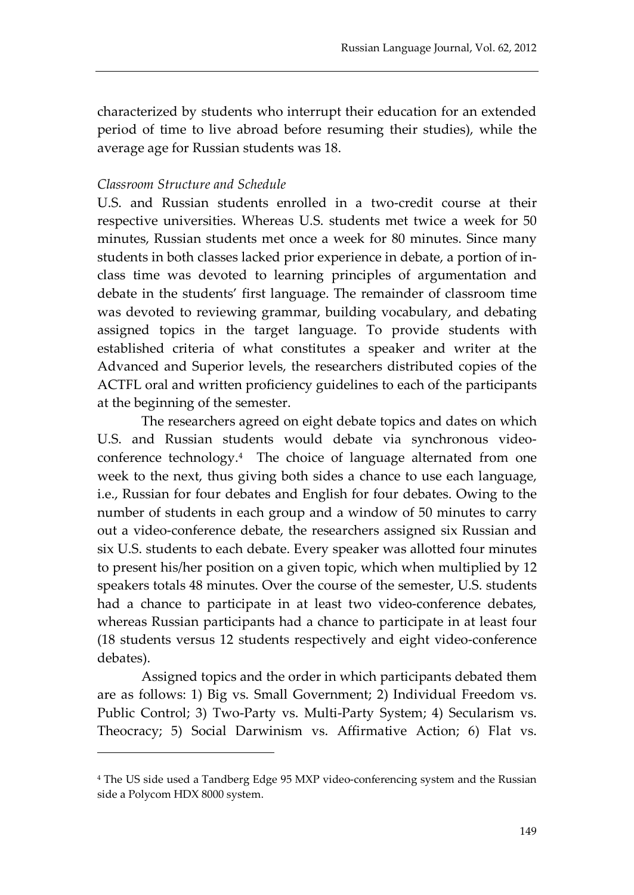characterized by students who interrupt their education for an extended period of time to live abroad before resuming their studies), while the average age for Russian students was 18.

#### *Classroom Structure and Schedule*

i,

U.S. and Russian students enrolled in a two-credit course at their respective universities. Whereas U.S. students met twice a week for 50 minutes, Russian students met once a week for 80 minutes. Since many students in both classes lacked prior experience in debate, a portion of inclass time was devoted to learning principles of argumentation and debate in the students' first language. The remainder of classroom time was devoted to reviewing grammar, building vocabulary, and debating assigned topics in the target language. To provide students with established criteria of what constitutes a speaker and writer at the Advanced and Superior levels, the researchers distributed copies of the ACTFL oral and written proficiency guidelines to each of the participants at the beginning of the semester.

The researchers agreed on eight debate topics and dates on which U.S. and Russian students would debate via synchronous videoconference technology[.4](#page-9-0) The choice of language alternated from one week to the next, thus giving both sides a chance to use each language, i.e., Russian for four debates and English for four debates. Owing to the number of students in each group and a window of 50 minutes to carry out a video-conference debate, the researchers assigned six Russian and six U.S. students to each debate. Every speaker was allotted four minutes to present his/her position on a given topic, which when multiplied by 12 speakers totals 48 minutes. Over the course of the semester, U.S. students had a chance to participate in at least two video-conference debates, whereas Russian participants had a chance to participate in at least four (18 students versus 12 students respectively and eight video-conference debates).

Assigned topics and the order in which participants debated them are as follows: 1) Big vs. Small Government; 2) Individual Freedom vs. Public Control; 3) Two-Party vs. Multi-Party System; 4) Secularism vs. Theocracy; 5) Social Darwinism vs. Affirmative Action; 6) Flat vs.

<span id="page-9-0"></span><sup>4</sup> The US side used a Tandberg Edge 95 MXP video-conferencing system and the Russian side a Polycom HDX 8000 system.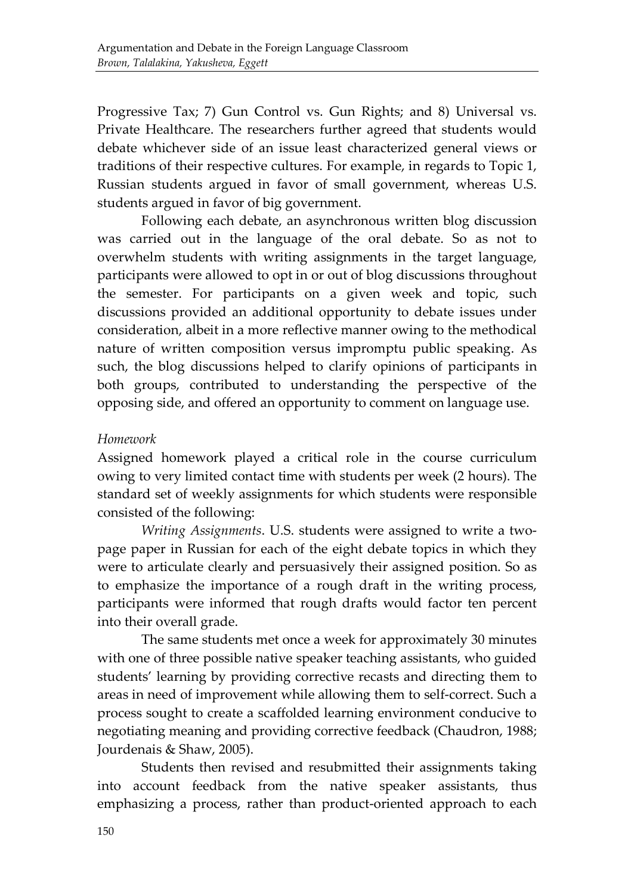Progressive Tax; 7) Gun Control vs. Gun Rights; and 8) Universal vs. Private Healthcare. The researchers further agreed that students would debate whichever side of an issue least characterized general views or traditions of their respective cultures. For example, in regards to Topic 1, Russian students argued in favor of small government, whereas U.S. students argued in favor of big government.

Following each debate, an asynchronous written blog discussion was carried out in the language of the oral debate. So as not to overwhelm students with writing assignments in the target language, participants were allowed to opt in or out of blog discussions throughout the semester. For participants on a given week and topic, such discussions provided an additional opportunity to debate issues under consideration, albeit in a more reflective manner owing to the methodical nature of written composition versus impromptu public speaking. As such, the blog discussions helped to clarify opinions of participants in both groups, contributed to understanding the perspective of the opposing side, and offered an opportunity to comment on language use.

#### *Homework*

Assigned homework played a critical role in the course curriculum owing to very limited contact time with students per week (2 hours). The standard set of weekly assignments for which students were responsible consisted of the following:

*Writing Assignments*. U.S. students were assigned to write a twopage paper in Russian for each of the eight debate topics in which they were to articulate clearly and persuasively their assigned position. So as to emphasize the importance of a rough draft in the writing process, participants were informed that rough drafts would factor ten percent into their overall grade.

The same students met once a week for approximately 30 minutes with one of three possible native speaker teaching assistants, who guided students' learning by providing corrective recasts and directing them to areas in need of improvement while allowing them to self-correct. Such a process sought to create a scaffolded learning environment conducive to negotiating meaning and providing corrective feedback (Chaudron, 1988; Jourdenais & Shaw, 2005).

Students then revised and resubmitted their assignments taking into account feedback from the native speaker assistants, thus emphasizing a process, rather than product-oriented approach to each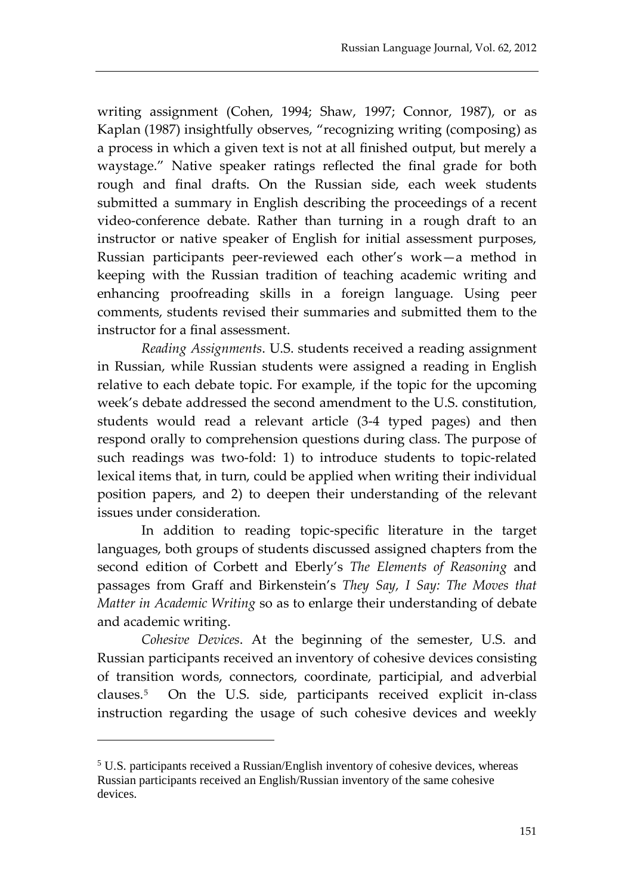writing assignment (Cohen, 1994; Shaw, 1997; Connor, 1987), or as Kaplan (1987) insightfully observes, "recognizing writing (composing) as a process in which a given text is not at all finished output, but merely a waystage." Native speaker ratings reflected the final grade for both rough and final drafts. On the Russian side, each week students submitted a summary in English describing the proceedings of a recent video-conference debate. Rather than turning in a rough draft to an instructor or native speaker of English for initial assessment purposes, Russian participants peer-reviewed each other's work—a method in keeping with the Russian tradition of teaching academic writing and enhancing proofreading skills in a foreign language. Using peer comments, students revised their summaries and submitted them to the instructor for a final assessment.

*Reading Assignments*. U.S. students received a reading assignment in Russian, while Russian students were assigned a reading in English relative to each debate topic. For example, if the topic for the upcoming week's debate addressed the second amendment to the U.S. constitution, students would read a relevant article (3-4 typed pages) and then respond orally to comprehension questions during class. The purpose of such readings was two-fold: 1) to introduce students to topic-related lexical items that, in turn, could be applied when writing their individual position papers, and 2) to deepen their understanding of the relevant issues under consideration.

In addition to reading topic-specific literature in the target languages, both groups of students discussed assigned chapters from the second edition of Corbett and Eberly's *The Elements of Reasoning* and passages from Graff and Birkenstein's *They Say, I Say: The Moves that Matter in Academic Writing* so as to enlarge their understanding of debate and academic writing.

*Cohesive Devices*. At the beginning of the semester, U.S. and Russian participants received an inventory of cohesive devices consisting of transition words, connectors, coordinate, participial, and adverbial clauses.[5](#page-11-0) On the U.S. side, participants received explicit in-class instruction regarding the usage of such cohesive devices and weekly

<span id="page-11-0"></span><sup>5</sup> U.S. participants received a Russian/English inventory of cohesive devices, whereas Russian participants received an English/Russian inventory of the same cohesive devices.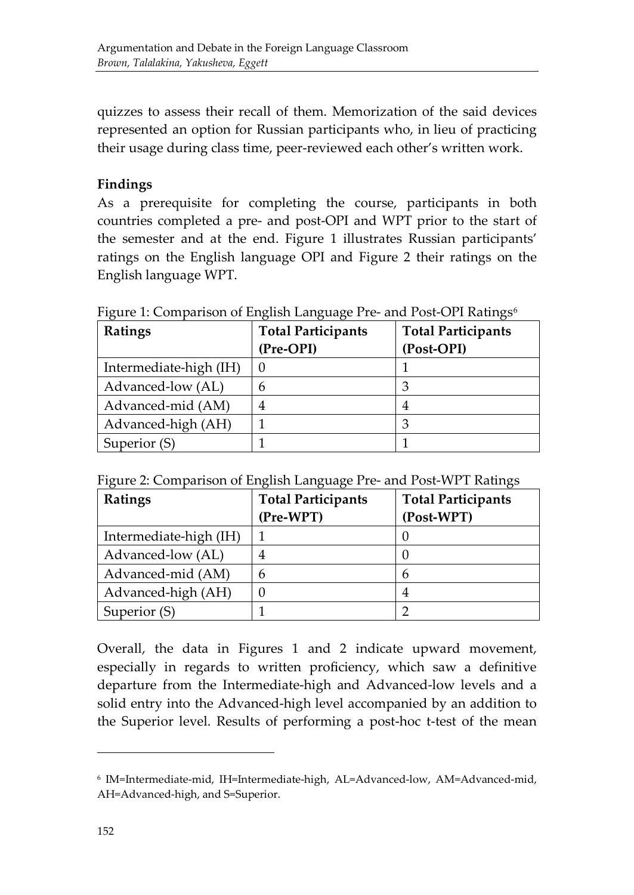quizzes to assess their recall of them. Memorization of the said devices represented an option for Russian participants who, in lieu of practicing their usage during class time, peer-reviewed each other's written work.

### **Findings**

As a prerequisite for completing the course, participants in both countries completed a pre- and post-OPI and WPT prior to the start of the semester and at the end. Figure 1 illustrates Russian participants' ratings on the English language OPI and Figure 2 their ratings on the English language WPT.

| Ratings                | <b>Total Participants</b> | <b>Total Participants</b> |  |  |
|------------------------|---------------------------|---------------------------|--|--|
|                        | (Pre-OPI)                 | (Post-OPI)                |  |  |
| Intermediate-high (IH) |                           |                           |  |  |
| Advanced-low (AL)      | h                         |                           |  |  |
| Advanced-mid (AM)      |                           | 4                         |  |  |
| Advanced-high (AH)     |                           |                           |  |  |
| Superior (S)           |                           |                           |  |  |

Figure 1: Comparison of English Language Pre- and Post-OPI Ratings<sup>[6](#page-12-0)</sup>

Figure 2: Comparison of English Language Pre- and Post-WPT Ratings

| Ratings                | <b>Total Participants</b> | <b>Total Participants</b> |  |  |  |
|------------------------|---------------------------|---------------------------|--|--|--|
|                        | (Pre-WPT)                 | (Post-WPT)                |  |  |  |
| Intermediate-high (IH) |                           |                           |  |  |  |
| Advanced-low (AL)      |                           |                           |  |  |  |
| Advanced-mid (AM)      |                           | 6                         |  |  |  |
| Advanced-high (AH)     |                           | 4                         |  |  |  |
| Superior (S)           |                           |                           |  |  |  |

Overall, the data in Figures 1 and 2 indicate upward movement, especially in regards to written proficiency, which saw a definitive departure from the Intermediate-high and Advanced-low levels and a solid entry into the Advanced-high level accompanied by an addition to the Superior level. Results of performing a post-hoc t-test of the mean

<span id="page-12-0"></span><sup>6</sup> IM=Intermediate-mid, IH=Intermediate-high, AL=Advanced-low, AM=Advanced-mid, AH=Advanced-high, and S=Superior.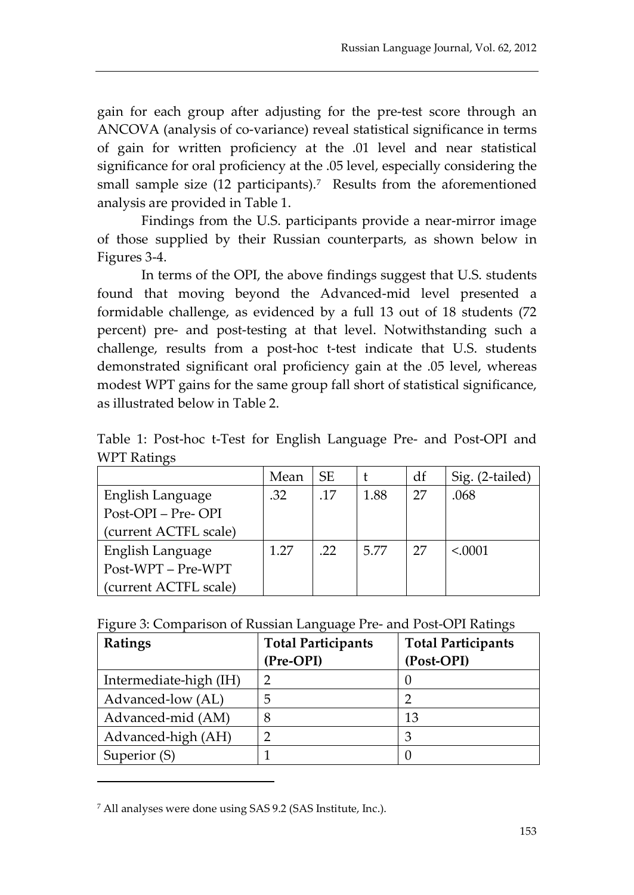gain for each group after adjusting for the pre-test score through an ANCOVA (analysis of co-variance) reveal statistical significance in terms of gain for written proficiency at the .01 level and near statistical significance for oral proficiency at the .05 level, especially considering the small sample size  $(12$  participants).<sup>[7](#page-13-0)</sup> Results from the aforementioned analysis are provided in Table 1.

Findings from the U.S. participants provide a near-mirror image of those supplied by their Russian counterparts, as shown below in Figures 3-4.

In terms of the OPI, the above findings suggest that U.S. students found that moving beyond the Advanced-mid level presented a formidable challenge, as evidenced by a full 13 out of 18 students (72 percent) pre- and post-testing at that level. Notwithstanding such a challenge, results from a post-hoc t-test indicate that U.S. students demonstrated significant oral proficiency gain at the .05 level, whereas modest WPT gains for the same group fall short of statistical significance, as illustrated below in Table 2.

Table 1: Post-hoc t-Test for English Language Pre- and Post-OPI and WPT Ratings

|                       | Mean | <b>SE</b> |      | df | Sig. (2-tailed) |
|-----------------------|------|-----------|------|----|-----------------|
| English Language      | .32  | .17       | 1.88 | 27 | .068            |
| Post-OPI - Pre- OPI   |      |           |      |    |                 |
| (current ACTFL scale) |      |           |      |    |                 |
| English Language      | 1.27 | .22       | 5.77 | 27 | < 0001          |
| Post-WPT - Pre-WPT    |      |           |      |    |                 |
| (current ACTFL scale) |      |           |      |    |                 |

Figure 3: Comparison of Russian Language Pre- and Post-OPI Ratings

| Ratings                | <b>Total Participants</b> | <b>Total Participants</b> |  |  |  |
|------------------------|---------------------------|---------------------------|--|--|--|
|                        | (Pre-OPI)                 | (Post-OPI)                |  |  |  |
| Intermediate-high (IH) | ာ                         |                           |  |  |  |
| Advanced-low (AL)      | 5                         |                           |  |  |  |
| Advanced-mid (AM)      | 8                         | 13                        |  |  |  |
| Advanced-high (AH)     |                           | 3                         |  |  |  |
| Superior (S)           |                           |                           |  |  |  |

<span id="page-13-0"></span><sup>7</sup> All analyses were done using SAS 9.2 (SAS Institute, Inc.).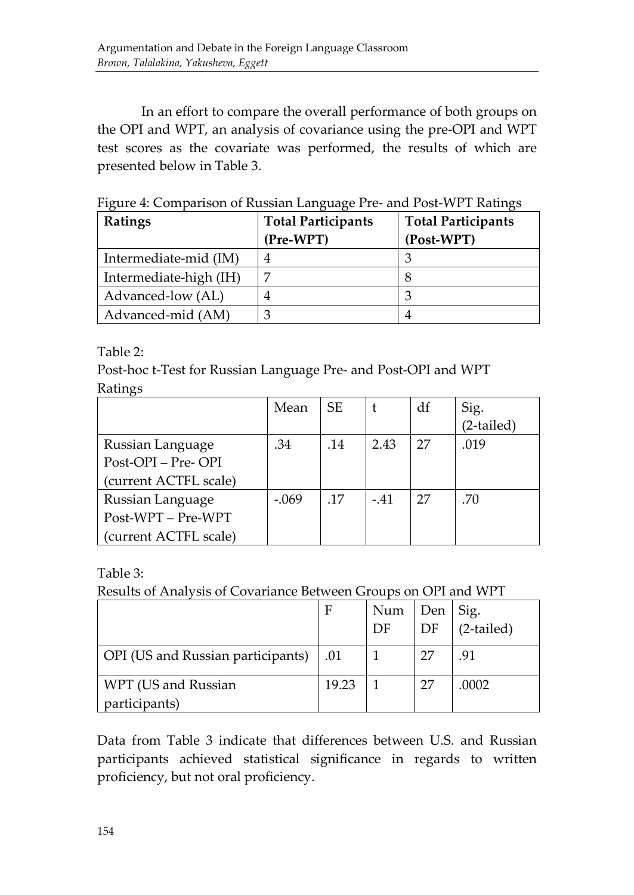In an effort to compare the overall performance of both groups on the OPI and WPT, an analysis of covariance using the pre-OPI and WPT test scores as the covariate was performed, the results of which are presented below in Table 3.

| Ratings                | <b>Total Participants</b> | <b>Total Participants</b> |
|------------------------|---------------------------|---------------------------|
|                        | (Pre-WPT)                 | (Post-WPT)                |
| Intermediate-mid (IM)  | 4                         | З                         |
| Intermediate-high (IH) | ⇁                         |                           |
| Advanced-low (AL)      | 4                         | 3                         |
| Advanced-mid (AM)      | З                         |                           |

Figure 4: Comparison of Russian Language Pre- and Post-WPT Ratings

Table 2:

Post-hoc t-Test for Russian Language Pre- and Post-OPI and WPT Ratings

|                       | Mean    | <b>SE</b> |        | df | Sig.       |
|-----------------------|---------|-----------|--------|----|------------|
|                       |         |           |        |    | (2-tailed) |
| Russian Language      | .34     | .14       | 2.43   | 27 | .019       |
| Post-OPI - Pre- OPI   |         |           |        |    |            |
| (current ACTFL scale) |         |           |        |    |            |
| Russian Language      | $-.069$ | .17       | $-.41$ | 27 | .70        |
| Post-WPT - Pre-WPT    |         |           |        |    |            |
| (current ACTFL scale) |         |           |        |    |            |

Table 3:

Results of Analysis of Covariance Between Groups on OPI and WPT

|                                   | F     | Num | Den<br>DF | Sig.<br>$(2$ -tailed) |
|-----------------------------------|-------|-----|-----------|-----------------------|
|                                   |       | DF  |           |                       |
| OPI (US and Russian participants) | .01   |     | 27        | .91                   |
| WPT (US and Russian               | 19.23 |     | 27        | .0002                 |
| participants)                     |       |     |           |                       |

Data from Table 3 indicate that differences between U.S. and Russian participants achieved statistical significance in regards to written proficiency, but not oral proficiency.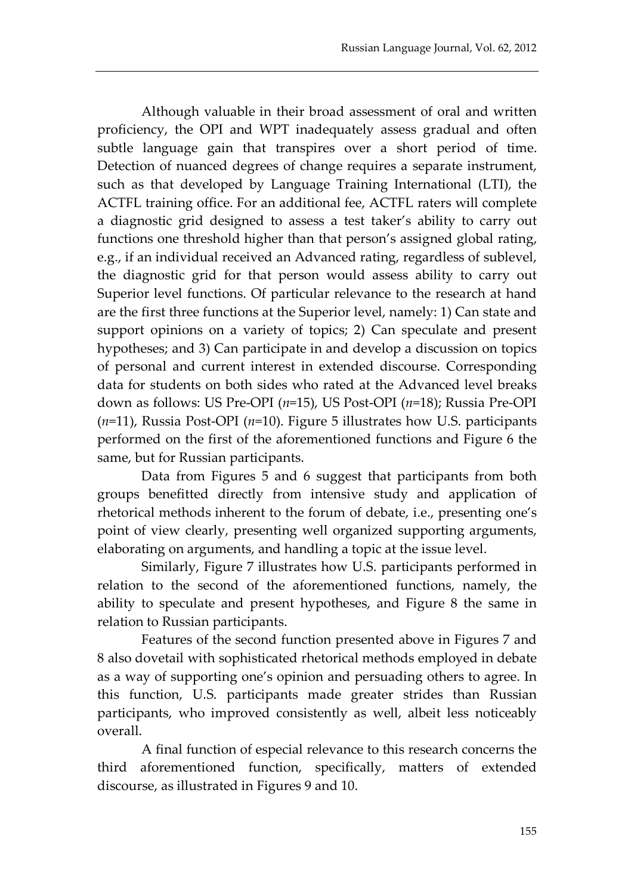Although valuable in their broad assessment of oral and written proficiency, the OPI and WPT inadequately assess gradual and often subtle language gain that transpires over a short period of time. Detection of nuanced degrees of change requires a separate instrument, such as that developed by Language Training International (LTI), the ACTFL training office. For an additional fee, ACTFL raters will complete a diagnostic grid designed to assess a test taker's ability to carry out functions one threshold higher than that person's assigned global rating, e.g., if an individual received an Advanced rating, regardless of sublevel, the diagnostic grid for that person would assess ability to carry out Superior level functions. Of particular relevance to the research at hand are the first three functions at the Superior level, namely: 1) Can state and support opinions on a variety of topics; 2) Can speculate and present hypotheses; and 3) Can participate in and develop a discussion on topics of personal and current interest in extended discourse. Corresponding data for students on both sides who rated at the Advanced level breaks down as follows: US Pre-OPI (*n*=15), US Post-OPI (*n*=18); Russia Pre-OPI (*n*=11), Russia Post-OPI (*n*=10). Figure 5 illustrates how U.S. participants performed on the first of the aforementioned functions and Figure 6 the same, but for Russian participants.

Data from Figures 5 and 6 suggest that participants from both groups benefitted directly from intensive study and application of rhetorical methods inherent to the forum of debate, i.e., presenting one's point of view clearly, presenting well organized supporting arguments, elaborating on arguments, and handling a topic at the issue level.

Similarly, Figure 7 illustrates how U.S. participants performed in relation to the second of the aforementioned functions, namely, the ability to speculate and present hypotheses, and Figure 8 the same in relation to Russian participants.

Features of the second function presented above in Figures 7 and 8 also dovetail with sophisticated rhetorical methods employed in debate as a way of supporting one's opinion and persuading others to agree. In this function, U.S. participants made greater strides than Russian participants, who improved consistently as well, albeit less noticeably overall.

A final function of especial relevance to this research concerns the third aforementioned function, specifically, matters of extended discourse, as illustrated in Figures 9 and 10.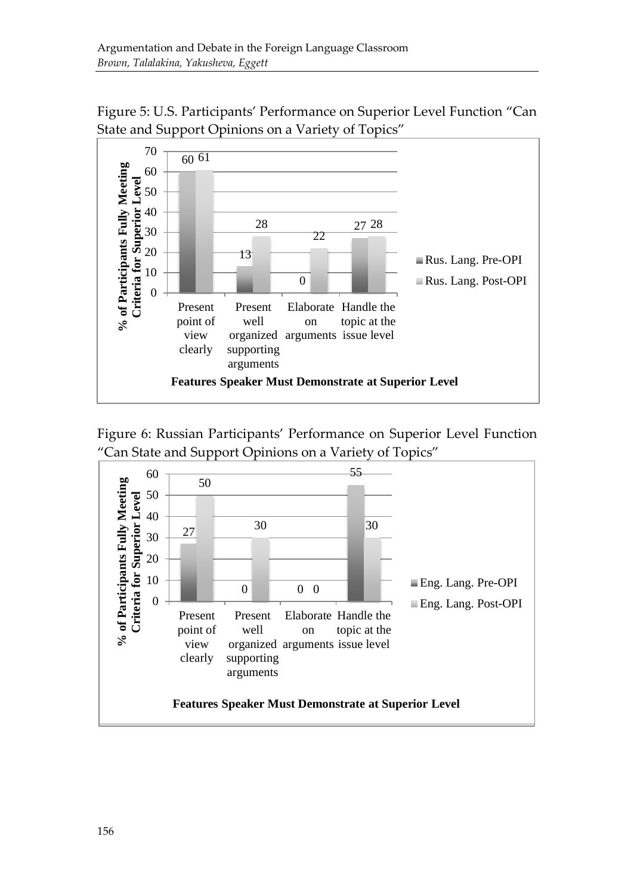

Figure 5: U.S. Participants' Performance on Superior Level Function "Can State and Support Opinions on a Variety of Topics"



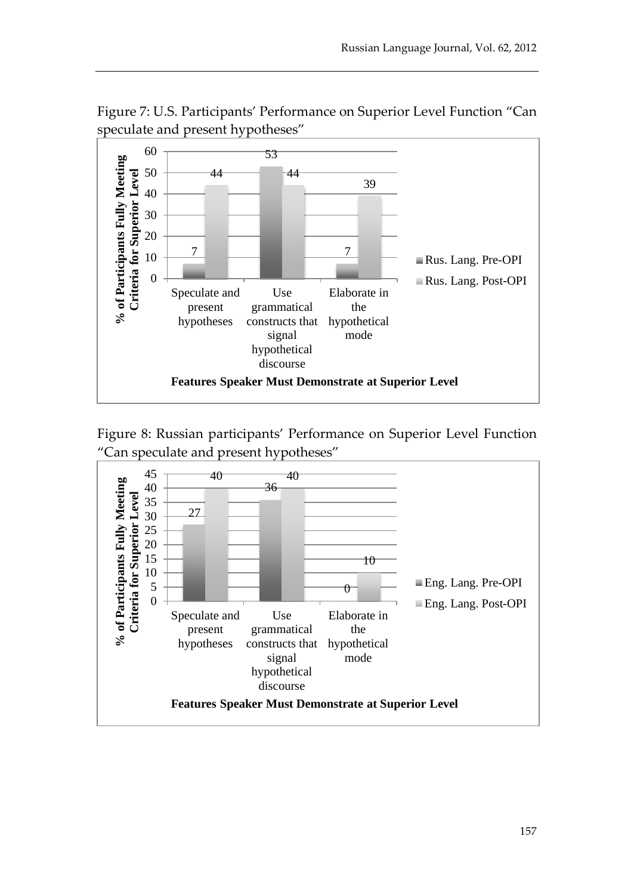

Figure 7: U.S. Participants' Performance on Superior Level Function "Can speculate and present hypotheses"



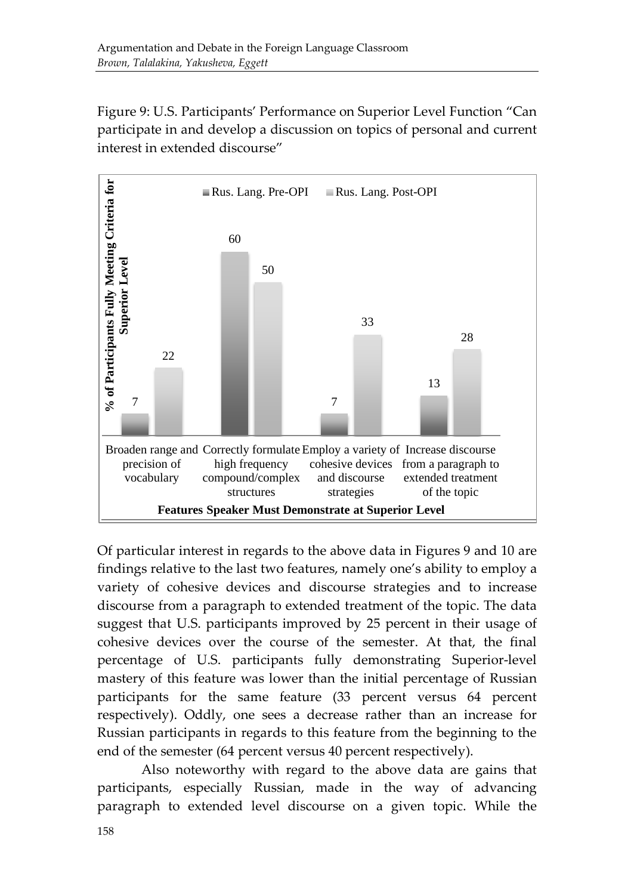Figure 9: U.S. Participants' Performance on Superior Level Function "Can participate in and develop a discussion on topics of personal and current interest in extended discourse"



Of particular interest in regards to the above data in Figures 9 and 10 are findings relative to the last two features, namely one's ability to employ a variety of cohesive devices and discourse strategies and to increase discourse from a paragraph to extended treatment of the topic. The data suggest that U.S. participants improved by 25 percent in their usage of cohesive devices over the course of the semester. At that, the final percentage of U.S. participants fully demonstrating Superior-level mastery of this feature was lower than the initial percentage of Russian participants for the same feature (33 percent versus 64 percent respectively). Oddly, one sees a decrease rather than an increase for Russian participants in regards to this feature from the beginning to the end of the semester (64 percent versus 40 percent respectively).

Also noteworthy with regard to the above data are gains that participants, especially Russian, made in the way of advancing paragraph to extended level discourse on a given topic. While the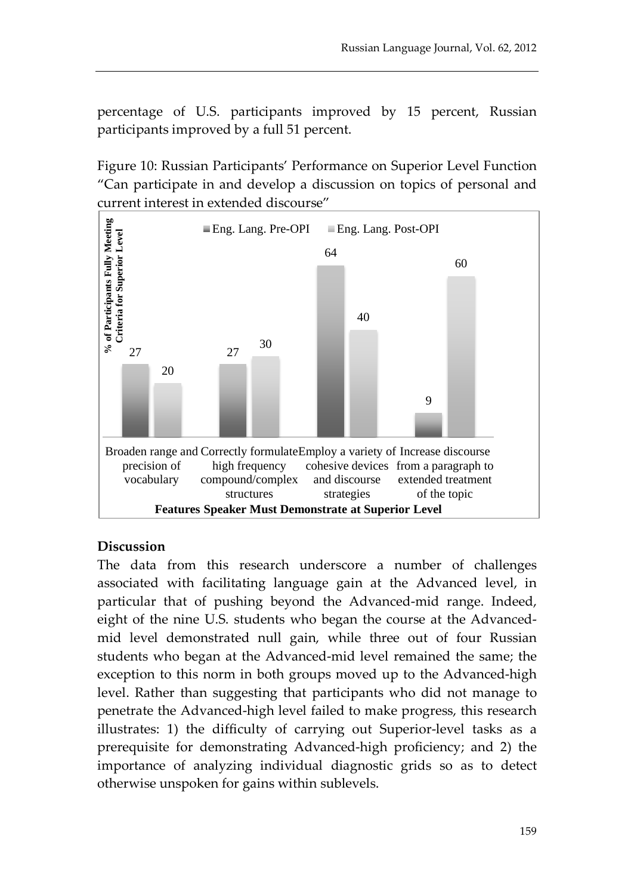percentage of U.S. participants improved by 15 percent, Russian participants improved by a full 51 percent.

Figure 10: Russian Participants' Performance on Superior Level Function "Can participate in and develop a discussion on topics of personal and current interest in extended discourse"



#### **Discussion**

The data from this research underscore a number of challenges associated with facilitating language gain at the Advanced level, in particular that of pushing beyond the Advanced-mid range. Indeed, eight of the nine U.S. students who began the course at the Advancedmid level demonstrated null gain, while three out of four Russian students who began at the Advanced-mid level remained the same; the exception to this norm in both groups moved up to the Advanced-high level. Rather than suggesting that participants who did not manage to penetrate the Advanced-high level failed to make progress, this research illustrates: 1) the difficulty of carrying out Superior-level tasks as a prerequisite for demonstrating Advanced-high proficiency; and 2) the importance of analyzing individual diagnostic grids so as to detect otherwise unspoken for gains within sublevels.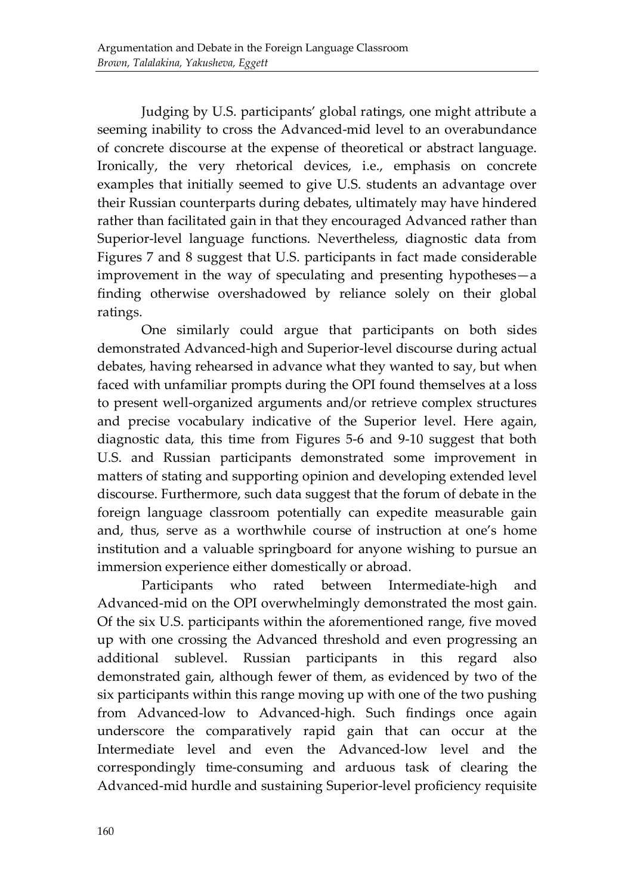Judging by U.S. participants' global ratings, one might attribute a seeming inability to cross the Advanced-mid level to an overabundance of concrete discourse at the expense of theoretical or abstract language. Ironically, the very rhetorical devices, i.e., emphasis on concrete examples that initially seemed to give U.S. students an advantage over their Russian counterparts during debates, ultimately may have hindered rather than facilitated gain in that they encouraged Advanced rather than Superior-level language functions. Nevertheless, diagnostic data from Figures 7 and 8 suggest that U.S. participants in fact made considerable improvement in the way of speculating and presenting hypotheses—a finding otherwise overshadowed by reliance solely on their global ratings.

One similarly could argue that participants on both sides demonstrated Advanced-high and Superior-level discourse during actual debates, having rehearsed in advance what they wanted to say, but when faced with unfamiliar prompts during the OPI found themselves at a loss to present well-organized arguments and/or retrieve complex structures and precise vocabulary indicative of the Superior level. Here again, diagnostic data, this time from Figures 5-6 and 9-10 suggest that both U.S. and Russian participants demonstrated some improvement in matters of stating and supporting opinion and developing extended level discourse. Furthermore, such data suggest that the forum of debate in the foreign language classroom potentially can expedite measurable gain and, thus, serve as a worthwhile course of instruction at one's home institution and a valuable springboard for anyone wishing to pursue an immersion experience either domestically or abroad.

Participants who rated between Intermediate-high and Advanced-mid on the OPI overwhelmingly demonstrated the most gain. Of the six U.S. participants within the aforementioned range, five moved up with one crossing the Advanced threshold and even progressing an additional sublevel. Russian participants in this regard also demonstrated gain, although fewer of them, as evidenced by two of the six participants within this range moving up with one of the two pushing from Advanced-low to Advanced-high. Such findings once again underscore the comparatively rapid gain that can occur at the Intermediate level and even the Advanced-low level and the correspondingly time-consuming and arduous task of clearing the Advanced-mid hurdle and sustaining Superior-level proficiency requisite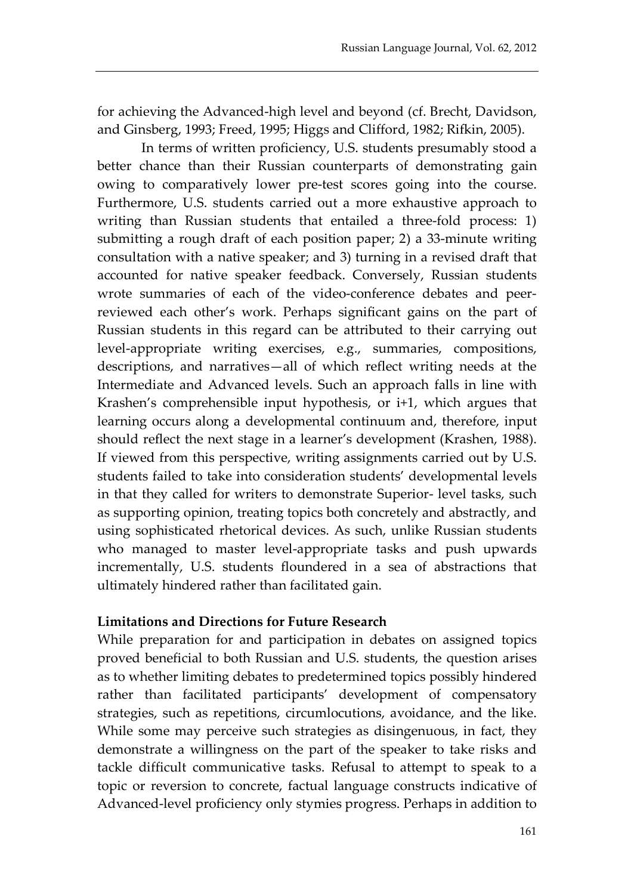for achieving the Advanced-high level and beyond (cf. Brecht, Davidson, and Ginsberg, 1993; Freed, 1995; Higgs and Clifford, 1982; Rifkin, 2005).

In terms of written proficiency, U.S. students presumably stood a better chance than their Russian counterparts of demonstrating gain owing to comparatively lower pre-test scores going into the course. Furthermore, U.S. students carried out a more exhaustive approach to writing than Russian students that entailed a three-fold process: 1) submitting a rough draft of each position paper; 2) a 33-minute writing consultation with a native speaker; and 3) turning in a revised draft that accounted for native speaker feedback. Conversely, Russian students wrote summaries of each of the video-conference debates and peerreviewed each other's work. Perhaps significant gains on the part of Russian students in this regard can be attributed to their carrying out level-appropriate writing exercises, e.g., summaries, compositions, descriptions, and narratives—all of which reflect writing needs at the Intermediate and Advanced levels. Such an approach falls in line with Krashen's comprehensible input hypothesis, or i+1, which argues that learning occurs along a developmental continuum and, therefore, input should reflect the next stage in a learner's development (Krashen, 1988). If viewed from this perspective, writing assignments carried out by U.S. students failed to take into consideration students' developmental levels in that they called for writers to demonstrate Superior- level tasks, such as supporting opinion, treating topics both concretely and abstractly, and using sophisticated rhetorical devices. As such, unlike Russian students who managed to master level-appropriate tasks and push upwards incrementally, U.S. students floundered in a sea of abstractions that ultimately hindered rather than facilitated gain.

#### **Limitations and Directions for Future Research**

While preparation for and participation in debates on assigned topics proved beneficial to both Russian and U.S. students, the question arises as to whether limiting debates to predetermined topics possibly hindered rather than facilitated participants' development of compensatory strategies, such as repetitions, circumlocutions, avoidance, and the like. While some may perceive such strategies as disingenuous, in fact, they demonstrate a willingness on the part of the speaker to take risks and tackle difficult communicative tasks. Refusal to attempt to speak to a topic or reversion to concrete, factual language constructs indicative of Advanced-level proficiency only stymies progress. Perhaps in addition to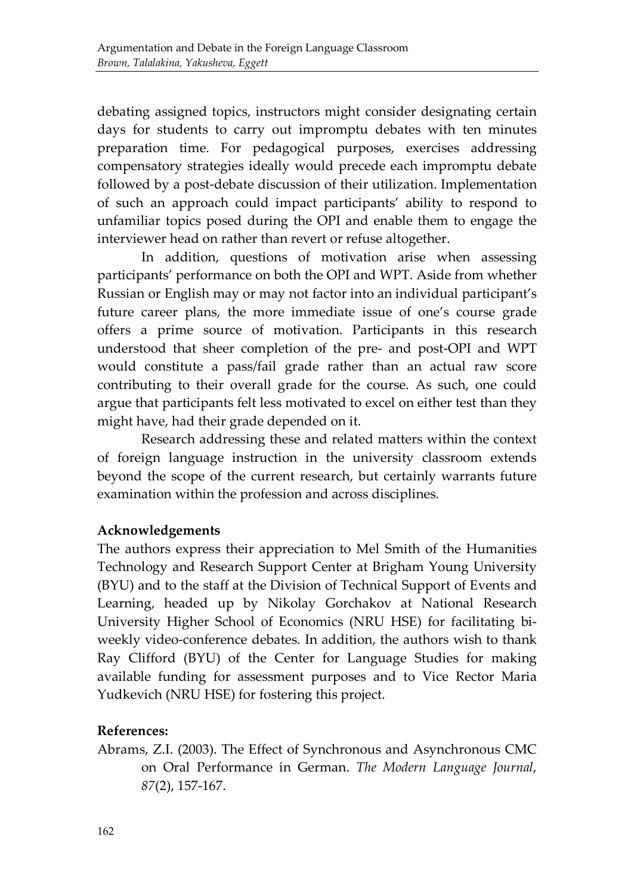debating assigned topics, instructors might consider designating certain days for students to carry out impromptu debates with ten minutes preparation time. For pedagogical purposes, exercises addressing compensatory strategies ideally would precede each impromptu debate followed by a post-debate discussion of their utilization. Implementation of such an approach could impact participants' ability to respond to unfamiliar topics posed during the OPI and enable them to engage the interviewer head on rather than revert or refuse altogether.

In addition, questions of motivation arise when assessing participants' performance on both the OPI and WPT. Aside from whether Russian or English may or may not factor into an individual participant's future career plans, the more immediate issue of one's course grade offers a prime source of motivation. Participants in this research understood that sheer completion of the pre- and post-OPI and WPT would constitute a pass/fail grade rather than an actual raw score contributing to their overall grade for the course. As such, one could argue that participants felt less motivated to excel on either test than they might have, had their grade depended on it.

Research addressing these and related matters within the context of foreign language instruction in the university classroom extends beyond the scope of the current research, but certainly warrants future examination within the profession and across disciplines.

#### **Acknowledgements**

The authors express their appreciation to Mel Smith of the Humanities Technology and Research Support Center at Brigham Young University (BYU) and to the staff at the Division of Technical Support of Events and Learning, headed up by Nikolay Gorchakov at National Research University Higher School of Economics (NRU HSE) for facilitating biweekly video-conference debates. In addition, the authors wish to thank Ray Clifford (BYU) of the Center for Language Studies for making available funding for assessment purposes and to Vice Rector Maria Yudkevich (NRU HSE) for fostering this project.

#### **References:**

Abrams, Z.I. (2003). The Effect of Synchronous and Asynchronous CMC on Oral Performance in German. *The Modern Language Journal*, *87*(2), 157-167.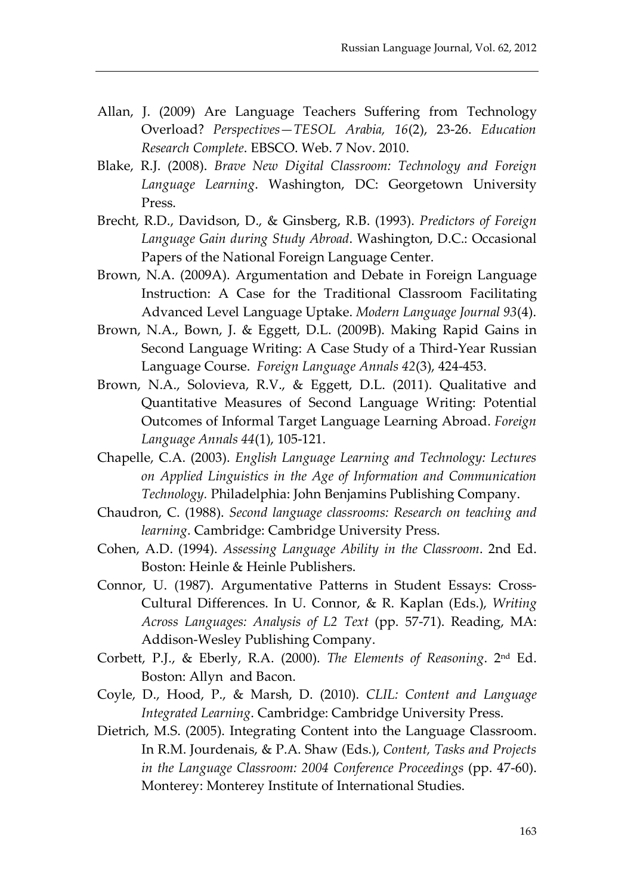- Allan, J. (2009) Are Language Teachers Suffering from Technology Overload? *Perspectives—TESOL Arabia, 16*(2), 23-26. *Education Research Complete*. EBSCO. Web. 7 Nov. 2010.
- Blake, R.J. (2008). *Brave New Digital Classroom: Technology and Foreign Language Learning*. Washington, DC: Georgetown University Press.
- Brecht, R.D., Davidson, D., & Ginsberg, R.B. (1993). *Predictors of Foreign Language Gain during Study Abroad*. Washington, D.C.: Occasional Papers of the National Foreign Language Center.
- Brown, N.A. (2009A). Argumentation and Debate in Foreign Language Instruction: A Case for the Traditional Classroom Facilitating Advanced Level Language Uptake. *Modern Language Journal 93*(4).
- Brown, N.A., Bown, J. & Eggett, D.L. (2009B). Making Rapid Gains in Second Language Writing: A Case Study of a Third-Year Russian Language Course. *Foreign Language Annals 42*(3), 424-453.
- Brown, N.A., Solovieva, R.V., & Eggett, D.L. (2011). Qualitative and Quantitative Measures of Second Language Writing: Potential Outcomes of Informal Target Language Learning Abroad. *Foreign Language Annals 44*(1), 105-121.
- Chapelle, C.A. (2003). *English Language Learning and Technology: Lectures on Applied Linguistics in the Age of Information and Communication Technology.* Philadelphia: John Benjamins Publishing Company.
- Chaudron, C. (1988). *Second language classrooms: Research on teaching and learning*. Cambridge: Cambridge University Press.
- Cohen, A.D. (1994). *Assessing Language Ability in the Classroom*. 2nd Ed. Boston: Heinle & Heinle Publishers.
- Connor, U. (1987). Argumentative Patterns in Student Essays: Cross-Cultural Differences. In U. Connor, & R. Kaplan (Eds.), *Writing Across Languages: Analysis of L2 Text* (pp. 57-71). Reading, MA: Addison-Wesley Publishing Company.
- Corbett, P.J., & Eberly, R.A. (2000). *The Elements of Reasoning*. 2nd Ed. Boston: Allyn and Bacon.
- Coyle, D., Hood, P., & Marsh, D. (2010). *CLIL: Content and Language Integrated Learning*. Cambridge: Cambridge University Press.
- Dietrich, M.S. (2005). Integrating Content into the Language Classroom. In R.M. Jourdenais, & P.A. Shaw (Eds.), *Content, Tasks and Projects in the Language Classroom: 2004 Conference Proceedings* (pp. 47-60). Monterey: Monterey Institute of International Studies.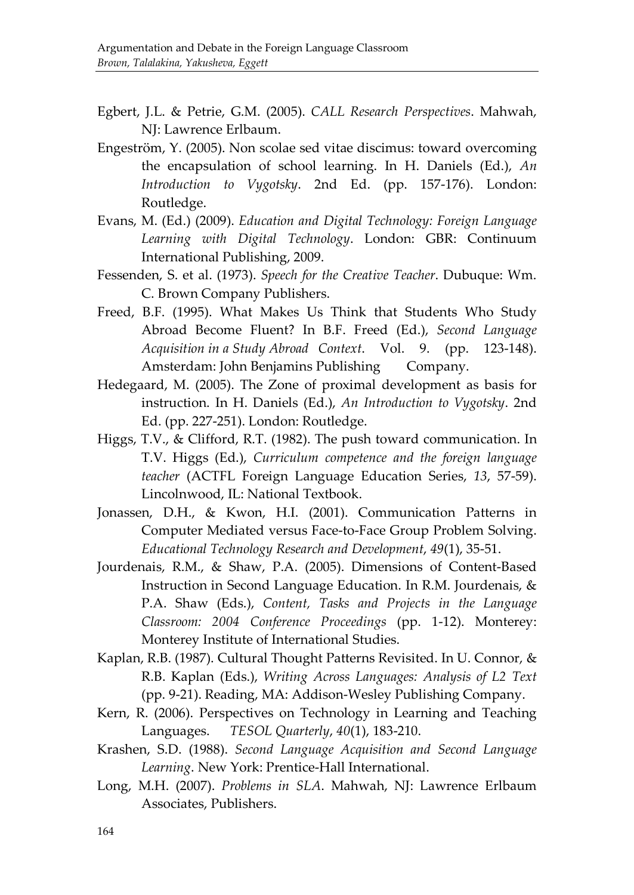- Egbert, J.L. & Petrie, G.M. (2005). *CALL Research Perspectives*. Mahwah, NJ: Lawrence Erlbaum.
- Engeström, Y. (2005). Non scolae sed vitae discimus: toward overcoming the encapsulation of school learning. In H. Daniels (Ed.), *An Introduction to Vygotsky*. 2nd Ed. (pp. 157-176). London: Routledge.
- Evans, M. (Ed.) (2009). *Education and Digital Technology: Foreign Language Learning with Digital Technology*. London: GBR: Continuum International Publishing, 2009.
- Fessenden, S. et al. (1973). *Speech for the Creative Teacher*. Dubuque: Wm. C. Brown Company Publishers.
- Freed, B.F. (1995). What Makes Us Think that Students Who Study Abroad Become Fluent? In B.F. Freed (Ed.), *Second Language Acquisition in a Study Abroad Context*. Vol. 9. (pp. 123-148). Amsterdam: John Benjamins Publishing Company.
- Hedegaard, M. (2005). The Zone of proximal development as basis for instruction. In H. Daniels (Ed.), *An Introduction to Vygotsky*. 2nd Ed. (pp. 227-251). London: Routledge.
- Higgs, T.V., & Clifford, R.T. (1982). The push toward communication. In T.V. Higgs (Ed.), *Curriculum competence and the foreign language teacher* (ACTFL Foreign Language Education Series, *13*, 57-59). Lincolnwood, IL: National Textbook.
- Jonassen, D.H., & Kwon, H.I. (2001). Communication Patterns in Computer Mediated versus Face-to-Face Group Problem Solving. *Educational Technology Research and Development*, *49*(1), 35-51.
- Jourdenais, R.M., & Shaw, P.A. (2005). Dimensions of Content-Based Instruction in Second Language Education. In R.M. Jourdenais, & P.A. Shaw (Eds.), *Content, Tasks and Projects in the Language Classroom: 2004 Conference Proceedings* (pp. 1-12). Monterey: Monterey Institute of International Studies.
- Kaplan, R.B. (1987). Cultural Thought Patterns Revisited. In U. Connor, & R.B. Kaplan (Eds.), *Writing Across Languages: Analysis of L2 Text* (pp. 9-21). Reading, MA: Addison-Wesley Publishing Company.
- Kern, R. (2006). Perspectives on Technology in Learning and Teaching Languages. *TESOL Quarterly*, *40*(1), 183-210.
- Krashen, S.D. (1988). *Second Language Acquisition and Second Language Learning*. New York: Prentice-Hall International.
- Long, M.H. (2007). *Problems in SLA*. Mahwah, NJ: Lawrence Erlbaum Associates, Publishers.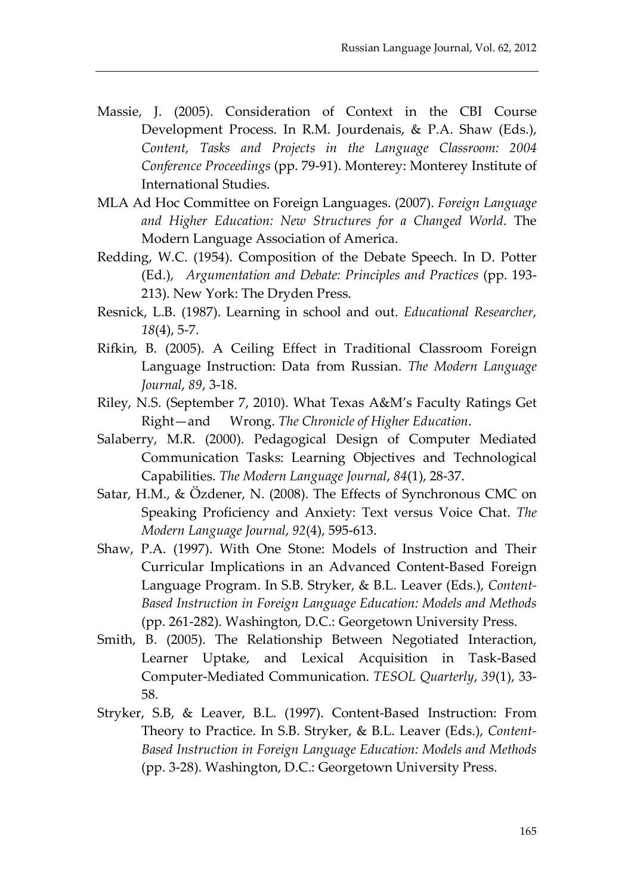- Massie, J. (2005). Consideration of Context in the CBI Course Development Process. In R.M. Jourdenais, & P.A. Shaw (Eds.), *Content, Tasks and Projects in the Language Classroom: 2004 Conference Proceedings* (pp. 79-91). Monterey: Monterey Institute of International Studies.
- MLA Ad Hoc Committee on Foreign Languages. (2007). *Foreign Language and Higher Education: New Structures for a Changed World*. The Modern Language Association of America.
- Redding, W.C. (1954). Composition of the Debate Speech. In D. Potter (Ed.), *Argumentation and Debate: Principles and Practices* (pp. 193- 213). New York: The Dryden Press.
- Resnick, L.B. (1987). Learning in school and out. *Educational Researcher*, *18*(4), 5-7.
- Rifkin, B. (2005). A Ceiling Effect in Traditional Classroom Foreign Language Instruction: Data from Russian. *The Modern Language Journal*, *89*, 3-18.
- Riley, N.S. (September 7, 2010). What Texas A&M's Faculty Ratings Get Right—and Wrong. *The Chronicle of Higher Education*.
- Salaberry, M.R. (2000). Pedagogical Design of Computer Mediated Communication Tasks: Learning Objectives and Technological Capabilities. *The Modern Language Journal*, *84*(1), 28-37.
- Satar, H.M., & Özdener, N. (2008). The Effects of Synchronous CMC on Speaking Proficiency and Anxiety: Text versus Voice Chat. *The Modern Language Journal*, *92*(4), 595-613.
- Shaw, P.A. (1997). With One Stone: Models of Instruction and Their Curricular Implications in an Advanced Content-Based Foreign Language Program. In S.B. Stryker, & B.L. Leaver (Eds.), *Content-Based Instruction in Foreign Language Education: Models and Methods* (pp. 261-282). Washington, D.C.: Georgetown University Press.
- Smith, B. (2005). The Relationship Between Negotiated Interaction, Learner Uptake, and Lexical Acquisition in Task-Based Computer-Mediated Communication. *TESOL Quarterly*, *39*(1), 33- 58.
- Stryker, S.B, & Leaver, B.L. (1997). Content-Based Instruction: From Theory to Practice. In S.B. Stryker, & B.L. Leaver (Eds.), *Content-Based Instruction in Foreign Language Education: Models and Methods* (pp. 3-28). Washington, D.C.: Georgetown University Press.